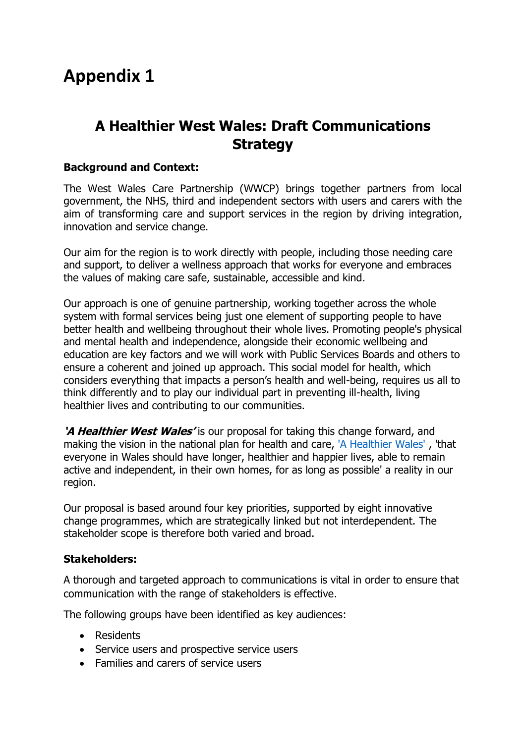# **Appendix 1**

## **A Healthier West Wales: Draft Communications Strategy**

### **Background and Context:**

The West Wales Care Partnership (WWCP) brings together partners from local government, the NHS, third and independent sectors with users and carers with the aim of transforming care and support services in the region by driving integration, innovation and service change.

Our aim for the region is to work directly with people, including those needing care and support, to deliver a wellness approach that works for everyone and embraces the values of making care safe, sustainable, accessible and kind.

Our approach is one of genuine partnership, working together across the whole system with formal services being just one element of supporting people to have better health and wellbeing throughout their whole lives. Promoting people's physical and mental health and independence, alongside their economic wellbeing and education are key factors and we will work with Public Services Boards and others to ensure a coherent and joined up approach. This social model for health, which considers everything that impacts a person's health and well-being, requires us all to think differently and to play our individual part in preventing ill-health, living healthier lives and contributing to our communities.

**'A Healthier West Wales'** is our proposal for taking this change forward, and making the vision in the national plan for health and care, 'A Healthier Wales', 'that everyone in Wales should have longer, healthier and happier lives, able to remain active and independent, in their own homes, for as long as possible' a reality in our region.

Our proposal is based around four key priorities, supported by eight innovative change programmes, which are strategically linked but not interdependent. The stakeholder scope is therefore both varied and broad.

### **Stakeholders:**

A thorough and targeted approach to communications is vital in order to ensure that communication with the range of stakeholders is effective.

The following groups have been identified as key audiences:

- Residents
- Service users and prospective service users
- Families and carers of service users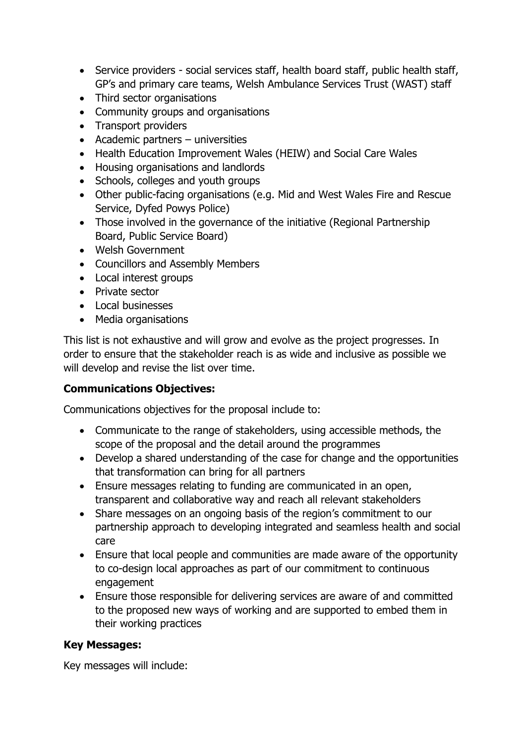- Service providers social services staff, health board staff, public health staff, GP's and primary care teams, Welsh Ambulance Services Trust (WAST) staff
- Third sector organisations
- Community groups and organisations
- Transport providers
- Academic partners universities
- Health Education Improvement Wales (HEIW) and Social Care Wales
- Housing organisations and landlords
- Schools, colleges and youth groups
- Other public-facing organisations (e.g. Mid and West Wales Fire and Rescue Service, Dyfed Powys Police)
- Those involved in the governance of the initiative (Regional Partnership Board, Public Service Board)
- Welsh Government
- Councillors and Assembly Members
- Local interest groups
- Private sector
- $\bullet$  Local businesses
- Media organisations

This list is not exhaustive and will grow and evolve as the project progresses. In order to ensure that the stakeholder reach is as wide and inclusive as possible we will develop and revise the list over time.

## **Communications Objectives:**

Communications objectives for the proposal include to:

- Communicate to the range of stakeholders, using accessible methods, the scope of the proposal and the detail around the programmes
- Develop a shared understanding of the case for change and the opportunities that transformation can bring for all partners
- Ensure messages relating to funding are communicated in an open, transparent and collaborative way and reach all relevant stakeholders
- Share messages on an ongoing basis of the region's commitment to our partnership approach to developing integrated and seamless health and social care
- Ensure that local people and communities are made aware of the opportunity to co-design local approaches as part of our commitment to continuous engagement
- Ensure those responsible for delivering services are aware of and committed to the proposed new ways of working and are supported to embed them in their working practices

## **Key Messages:**

Key messages will include: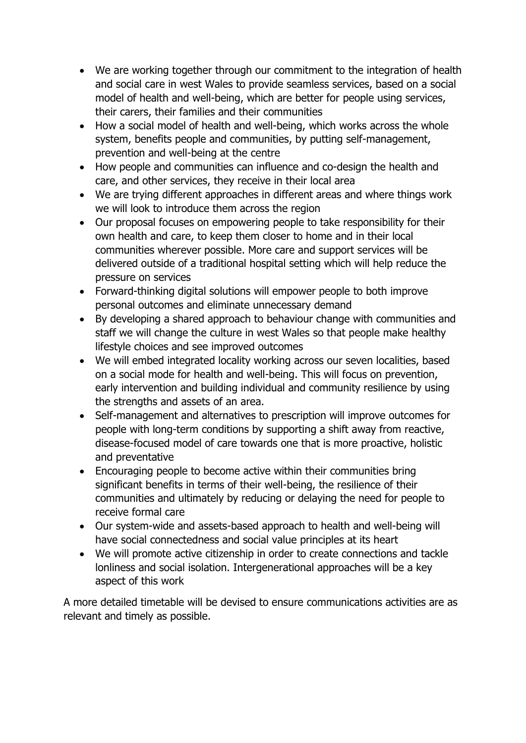- We are working together through our commitment to the integration of health and social care in west Wales to provide seamless services, based on a social model of health and well-being, which are better for people using services, their carers, their families and their communities
- How a social model of health and well-being, which works across the whole system, benefits people and communities, by putting self-management, prevention and well-being at the centre
- How people and communities can influence and co-design the health and care, and other services, they receive in their local area
- We are trying different approaches in different areas and where things work we will look to introduce them across the region
- Our proposal focuses on empowering people to take responsibility for their own health and care, to keep them closer to home and in their local communities wherever possible. More care and support services will be delivered outside of a traditional hospital setting which will help reduce the pressure on services
- Forward-thinking digital solutions will empower people to both improve personal outcomes and eliminate unnecessary demand
- By developing a shared approach to behaviour change with communities and staff we will change the culture in west Wales so that people make healthy lifestyle choices and see improved outcomes
- We will embed integrated locality working across our seven localities, based on a social mode for health and well-being. This will focus on prevention, early intervention and building individual and community resilience by using the strengths and assets of an area.
- Self-management and alternatives to prescription will improve outcomes for people with long-term conditions by supporting a shift away from reactive, disease-focused model of care towards one that is more proactive, holistic and preventative
- Encouraging people to become active within their communities bring significant benefits in terms of their well-being, the resilience of their communities and ultimately by reducing or delaying the need for people to receive formal care
- Our system-wide and assets-based approach to health and well-being will have social connectedness and social value principles at its heart
- We will promote active citizenship in order to create connections and tackle lonliness and social isolation. Intergenerational approaches will be a key aspect of this work

A more detailed timetable will be devised to ensure communications activities are as relevant and timely as possible.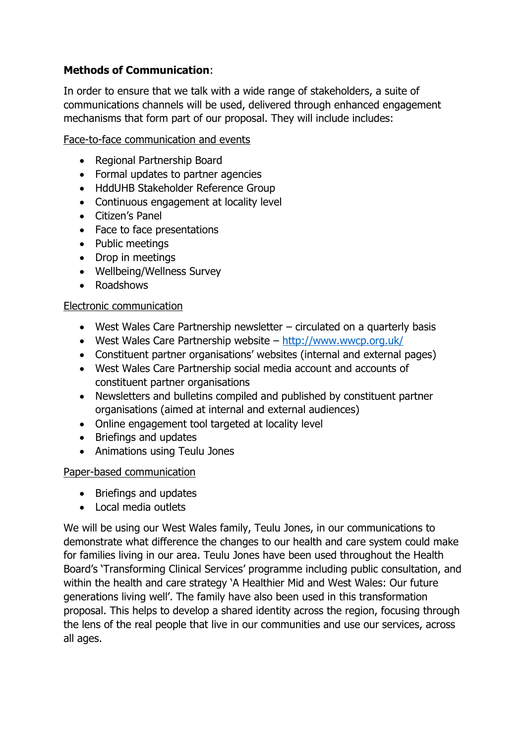## **Methods of Communication**:

In order to ensure that we talk with a wide range of stakeholders, a suite of communications channels will be used, delivered through enhanced engagement mechanisms that form part of our proposal. They will include includes:

Face-to-face communication and events

- Regional Partnership Board
- Formal updates to partner agencies
- HddUHB Stakeholder Reference Group
- Continuous engagement at locality level
- Citizen's Panel
- Face to face presentations
- Public meetings
- Drop in meetings
- Wellbeing/Wellness Survey
- Roadshows

#### Electronic communication

- West Wales Care Partnership newsletter circulated on a quarterly basis
- West Wales Care Partnership website <http://www.wwcp.org.uk/>
- Constituent partner organisations' websites (internal and external pages)
- West Wales Care Partnership social media account and accounts of constituent partner organisations
- Newsletters and bulletins compiled and published by constituent partner organisations (aimed at internal and external audiences)
- Online engagement tool targeted at locality level
- Briefings and updates
- Animations using Teulu Jones

### Paper-based communication

- Briefings and updates
- Local media outlets

We will be using our West Wales family, Teulu Jones, in our communications to demonstrate what difference the changes to our health and care system could make for families living in our area. Teulu Jones have been used throughout the Health Board's 'Transforming Clinical Services' programme including public consultation, and within the health and care strategy 'A Healthier Mid and West Wales: Our future generations living well'. The family have also been used in this transformation proposal. This helps to develop a shared identity across the region, focusing through the lens of the real people that live in our communities and use our services, across all ages.